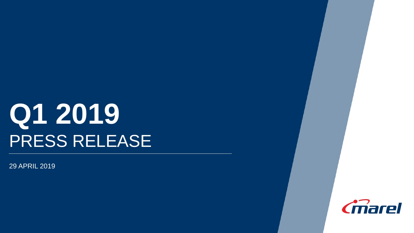# **Q1 2019** PRESS RELEASE

29 APRIL 2019

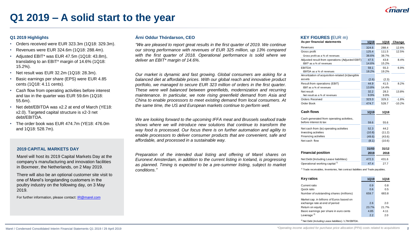

### **Q1 2019 – A solid start to the year**

### **Q1 2019 Highlights**

- Orders received were EUR 323.3m (1Q18: 329.3m).
- Revenues were EUR 324.6m (1Q18: 288.4m).
- Adjusted EBIT\* was EUR 47.5m (1Q18: 43.8m), translating to an EBIT\* margin of 14.6% (1Q18: 15.2%).
- Net result was EUR 32.2m (1Q18: 28.3m).
- Basic earnings per share (EPS) were EUR 4.85 cents (1Q18: 4.11 cents).
- Cash flow from operating activities before interest and tax in the quarter was EUR 59.6m (1Q18: 55.6m).
- Net debt/EBITDA was x2.2 at end of March (YE18: x2.0). Targeted capital structure is x2-3 net debt/EBITDA.
- The order book was EUR 474.7m (YE18: 476.0m and 1Q18: 528.7m).

### **2019 CAPITAL MARKETS DAY**

Marel will host its 2019 Capital Markets Day at the company's manufacturing and innovation facilities in Boxmeer, the Netherlands, on 2 May 2019.

There will also be an optional customer site visit to one of Marel's longstanding customers in the poultry industry on the following day, on 3 May 2019.

For further information, please contact: [IR@marel.com](mailto:IR@marel.com)

### **Árni Oddur Thórdarson, CEO KEY FIGURES (**EUR m)

*"We are pleased to report great results in the first quarter of 2019. We continue our strong performance with revenues of EUR 325 million, up 13% compared with the first quarter of 2018. Operational performance is solid where we deliver an EBIT\* margin of 14.6%.*

*Our market is dynamic and fast growing. Global consumers are asking for a balanced diet at affordable prices. With our global reach and innovative product portfolio, we managed to secure EUR 323 million of orders in the first quarter. These were well balanced between greenfields, modernization and recurring maintenance. In particular, we note rising greenfield demand from Asia and China to enable processors to meet existing demand from local consumers. At the same time, the US and European markets continue to perform well.*

*We are looking forward to the upcoming IFFA meat and Brussels seafood trade shows where we will introduce new solutions that continue to transform the way food is processed. Our focus there is on further automation and agility to enable processors to deliver consumer products that are convenient, safe and affordable, and processed in a sustainable way.*

*Preparation of the intended dual listing and offering of Marel shares on Euronext Amsterdam, in addition to the current listing in Iceland, is progressing as planned. Timing is expected to be a pre-summer listing, subject to market conditions."*

| As per financial statements                      | <b>1Q19</b> | 1Q18  | Change   |
|--------------------------------------------------|-------------|-------|----------|
| Revenues                                         | 324.6       | 288.4 | 12.6%    |
| Gross profit                                     | 125.4       | 111.5 | 12.5%    |
| Gross profit as a % of revenues                  | 38.6%       | 38.7% |          |
| Adjusted result from operations (Adjusted EBIT)  | 47.5        | 43.8  | 8.4%     |
| EBIT* as a % of revenues                         | 14.6%       | 15.2% |          |
| <b>EBITDA</b>                                    | 59.1        | 55.3  | 6.9%     |
| EBITDA as a % of revenues                        | 18.2%       | 19.2% |          |
| Amortization of acquisition-related (in)tangible |             |       |          |
| assets                                           | (2.6)       | (2.3) |          |
| Result from operations (EBIT)                    | 44.9        | 41.5  | 8.2%     |
| EBIT as a % of revenues                          | 13.8%       | 14.4% |          |
| Net result                                       | 32.2        | 28.3  | 13.8%    |
| Net result as a % of revenues                    | 9.9%        | 9.8%  |          |
| <b>Orders Received</b>                           | 323.3       | 329.3 | $-1.8%$  |
| Order Book                                       | 474.7       | 528.7 | $-10.2%$ |

| Cash flows                                                                              | <b>1Q19</b>              | 1Q18                     |
|-----------------------------------------------------------------------------------------|--------------------------|--------------------------|
| Cash generated from operating activities,<br>before interest & tax                      | 59.6                     | 55.6                     |
| Net cash from (to) operating activities<br>Investing activities<br>Financing activities | 52.3<br>(10.8)<br>(49.6) | 44.2<br>(11.2)<br>(43.6) |
| Net cash flow                                                                           | (8.1)                    | (10.6)                   |
| <b>Financial position</b>                                                               | 31/03<br>2019            | 31/12<br>2018            |
| Net Debt (Including Lease liabilities)                                                  | 472.3                    | 431.6                    |
| Operational working capital <sup>1)</sup>                                               | 47.4                     | 27.7                     |

 $1)$  Trade receivables, Inventories, Net contract liabilities and Trade payables.

| <b>Key ratios</b>                                                                                                      | <b>1Q19</b>  | 1Q18         |
|------------------------------------------------------------------------------------------------------------------------|--------------|--------------|
| Current ratio<br>Quick ratio                                                                                           | 0.9<br>0.6   | 0.8<br>0.5   |
| Number of outstanding shares (millions)<br>Market cap. in billions of Euros based on<br>exchange rate at end of period | 659.7<br>2.6 | 683.8<br>2.0 |
| Return on equity                                                                                                       | 23.7%        | 21.7%        |
| Basic earnings per share in euro cents                                                                                 | 4.85         | 4.11         |
| Leverage $2)$                                                                                                          | 2.2          | 2.0          |

2) Net Debt (Including Lease liabilities) / LTM EBITDA.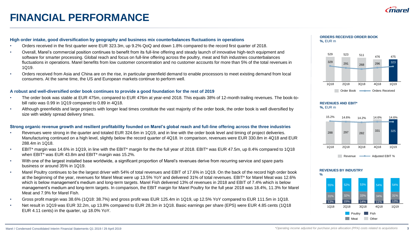# **FINANCIAL PERFORMANCE**



- Orders received in the first quarter were EUR 323.3m, up 9.2% QoQ and down 1.8% compared to the record first quarter of 2018.
- Overall, Marel's commercial position continues to benefit from its full-line offering and steady launch of innovative high-tech equipment and software for smarter processing. Global reach and focus on full-line offering across the poultry, meat and fish industries counterbalances fluctuations in operations. Marel benefits from low customer concentration and no customer accounts for more than 5% of the total revenues in 1Q19.
- Orders received from Asia and China are on the rise, in particular greenfield demand to enable processors to meet existing demand from local consumers. At the same time, the US and European markets continue to perform well.

### **A robust and well-diversified order book continues to provide a good foundation for the rest of 2019**

- The order book was stable at EUR 475m, compared to EUR 476m at year-end 2018. This equals 38% of 12-month trailing revenues. The book-tobill ratio was 0.99 in 1Q19 compared to 0.89 in 4Q18.
- Although greenfields and large projects with longer lead times constitute the vast majority of the order book, the order book is well diversified by size with widely spread delivery times.

### **Strong organic revenue growth and resilient profitability founded on Marel's global reach and full-line offering across the three industries**

- Revenues were strong in the quarter and totaled EUR 324.6m in 1Q19, and in line with the order book level and timing of project deliveries. Manufacturing continued on a high level, slightly below the record quarter of 4Q18. In comparison, revenues were EUR 330.8m in 4Q18 and EUR 288.4m in 1Q18.
- EBIT\* margin was 14.6% in 1Q19, in line with the EBIT\* margin for the the full year of 2018. EBIT\* was EUR 47.5m, up 8.4% compared to 1Q18 when EBIT\* was EUR 43.8m and EBIT\* margin was 15.2%.
- With one of the largest installed base worldwide, a significant proportion of Marel's revenues derive from recurring service and spare parts business or around 35% in 1Q19.
- Marel Poultry continues to be the largest driver with 54% of total revenues and EBIT of 17.6% in 1Q19. On the back of the record high order book at the beginning of the year, revenues for Marel Meat were up 13.5% YoY and delivered 31% of total revenues. EBIT\* for Marel Meat was 12.6% which is below management's medium and long-term targets. Marel Fish delivered 13% of revenues in 2018 and EBIT of 7.4% which is below management's medium and long-term targets. In comparison, the EBIT margin for Marel Poultry for the full year 2018 was 18.4%, 11.3% for Marel Meat and 7.9% for Marel Fish.
- Gross profit margin was 38.6% (1Q18: 38.7%) and gross profit was EUR 125.4m in 1Q19, up 12.5% YoY compared to EUR 111.5m in 1Q18.
- Net result in 1Q19 was EUR 32.2m, up 13.8% compared to EUR 28.3m in 1Q18. Basic earnings per share (EPS) were EUR 4.85 cents (1Q18 EUR 4.11 cents) in the quarter, up 18.0% YoY.

**ORDERS RECEIVED ORDER BOOK %,** EUR m



#### **REVENUES AND EBIT\* %,** EUR m



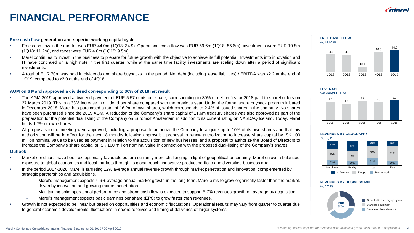

# **FINANCIAL PERFORMANCE**

### **Free cash flow generation and superior working capital cycle**

- Free cash flow in the quarter was EUR 44.0m (1Q18: 34.9). Operational cash flow was EUR 59.6m (1Q18: 55.6m), investments were EUR 10.8m (1Q18: 11.2m), and taxes were EUR 4.8m (1Q18: 9.5m).
- Marel continues to invest in the business to prepare for future growth with the objective to achieve its full potential. Investments into innovation and IT have continued on a high note in the first quarter, while at the same time facility investments are scaling down after a period of significant investments.
- A total of EUR 70m was paid in dividends and share buybacks in the period. Net debt (including lease liabilities) / EBITDA was x2.2 at the end of 1Q19, compared to x2.0 at the end of 4Q18.

### **AGM on 6 March approved a dividend corresponding to 30% of 2018 net result**

- The AGM 2019 approved a dividend payment of EUR 5.57 cents per share, corresponding to 30% of net profits for 2018 paid to shareholders on 27 March 2019. This is a 33% increase in dividend per share compared with the previous year. Under the formal share buyback program initiated in December 2018, Marel has purchased a total of 16.2m of own shares, which corresponds to 2.4% of issued shares in the company. No shares have been purchased since the 2019 AGM. A reduction of the Company's share capital of 11.6m treasury shares was also approved as part of the preparation for the potential dual listing of the Company on Euronext Amsterdam in addition to its current listing on NASDAQ Iceland. Today, Marel holds 1.7% of own shares.
- All proposals to the meeting were approved, including a proposal to authorize the Company to acquire up to 10% of its own shares and that this authorization will be in effect for the next 18 months following approval; a proposal to renew authorization to increase share capital by ISK 100 million nominal value to be used as payment in relation to the acquisition of new businesses; and a proposal to authorize the Board of Directors to increase the Company's share capital of ISK 100 million nominal value in connection with the proposed dual-listing of the Company's shares.

### **Outlook**

- Market conditions have been exceptionally favorable but are currently more challenging in light of geopolitical uncertainty. Marel enjoys a balanced exposure to global economies and local markets through its global reach, innovative product portfolio and diversified business mix.
- In the period 2017-2026, Marel is targeting 12% average annual revenue growth through market penetration and innovation, complemented by strategic partnerships and acquisitions.
	- Marel's management expects 4-6% average annual market growth in the long term. Marel aims to grow organically faster than the market, driven by innovation and growing market penetration.
	- Maintaining solid operational performance and strong cash flow is expected to support 5-7% revenues growth on average by acquisition.
	- Marel's management expects basic earnings per share (EPS) to grow faster than revenues.
- Growth is not expected to be linear but based on opportunities and economic fluctuations. Operational results may vary from quarter to quarter due to general economic developments, fluctuations in orders received and timing of deliveries of larger systems.





### **LEVERAGE** Net debt/EBITDA



### **REVENUES BY GEOGRAPHY**



#### **REVENUES BY BUSINESS MIX** %, 1Q19

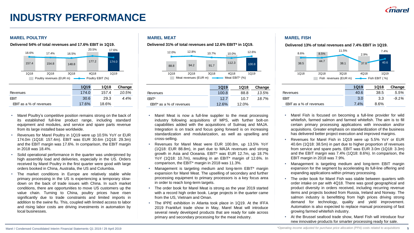# **INDUSTRY PERFORMANCE**

### **MAREL POULTRY MAREL MEAT MAREL FISH**



- Marel Poultry's competitive position remains strong on the back of its established full-line product range, including standard equipment and modules, and service and spare parts revenue from its large installed base worldwide.
- Revenues for Marel Poultry in 1Q19 were up 10.5% YoY or EUR 174.0m (1Q18: 157.4m). EBIT was EUR 30.6m (1Q18: 29.3m) and the EBIT margin was 17.6%. In comparison, the EBIT margin in 2018 was 18.4%.
- Solid operational performance in the quarter was underpinned by high assembly load and deliveries, especially in the US. Orders received by Marel Poultry in the first quarter were good with large orders booked in China, Australia, the US and Columbia.
- The market conditions in Europe are relatively stable while primary processing in the US is experiencing a temporary slowdown on the back of trade issues with China. In such market conditions, there are opportunities to move US customers up the value chain. Turning to China, poultry prices have risen significantly due to trade constraints and limited imports in addition to the swine flu. This, coupled with limited access to labor and rising labor costs are driving investments in automation by local businesses.

Delivered 54% of total revenues and 17.6% EBIT in 1Q19. **Delivered 31% of total revenues and 12.6% EBIT** in 1Q19. **Delivered 13% of total revenues and 7.4% EBIT in 1Q19.** 



|                             | <b>1Q19</b> | <b>1Q18</b> | Change |
|-----------------------------|-------------|-------------|--------|
| Revenues                    | 100.8       | 88.8        | 13.5%  |
| <b>FRIT*</b>                | 127         | 10.7        | 18.7%  |
| $EBIT^*$ as a % of revenues | 12.6%       | 12.0%       |        |

- Marel Meat is now a full-line supplier to the meat processing industry following acquisitions of MPS, with further bolt-on capabilities added with the acquisitions of Sulmaq and MAJA. Integration is on track and focus going forward is on increasing standardization and modularization, as well as upselling and cross-selling.
- Revenues for Marel Meat were EUR 100.8m, up 13.5% YoY (1Q18: EUR 88.8m), in part due to MAJA revenues and strong growth in Asia and Oceania. EBIT\* was EUR 12.7m, up 18.7% YoY (1Q18: 10.7m), resulting in an EBIT\* margin of 12.6%. In comparison, the EBIT\* margin in 2018 was 11.3%.
- Management is targeting medium and long-term EBIT\* margin expansion for Marel Meat. The upselling of secondary and further processing equipment to primary processors is a key focus area in order to reach long-term targets.
- The order book for Marel Meat is strong as the year 2019 started with a record high order book. Large projects in the quarter came from the US, Vietnam and Oman.
- The IPPE exhibition in Atlanta took place in 1Q19. At the IFFA 2019 Frankfurt trade show in May, Marel Meat will introduce several newly developed products that are ready for sale across primary and secondary processing for the meat industry.



|                                | <b>1Q19</b> | <b>1Q18</b> | Change   |
|--------------------------------|-------------|-------------|----------|
| Revenues                       | 40.6        | 38.5        | 5.5%     |
| FRIT                           | 3.0         | 3.3         | $-9.1\%$ |
| <b>EBIT</b> as a % of revenues | 7.4%        | 8.6%        |          |

- Marel Fish is focused on becoming a full-line provider for wild whitefish, farmed salmon and farmed whitefish. The aim is to fill certain primary processing applications with innovation and/or acquisitions. Greater emphasis on standardization of the business has delivered better project execution and improved margins.
- Revenues for Marel Fish in 1Q19 were up 5.5% YoY or EUR 40.6m (1Q18: 38.5m) in part due to higher proportion of revenues from service and spare parts. EBIT was EUR 3.0m (1Q18: 3.3m) and the EBIT margin was 7.4% (1Q18: 8.6%). In comparison, the EBIT margin in 2018 was 7.9%.
- Management is targeting medium and long-term EBIT margin expansion for the segment by accelerating its full-line offering and expanding applications within primary processing.
- The order book for Marel Fish was stable between quarters with order intake on par with 4Q18. There was good geographical and product diversity in orders received, including recurring revenue items and projects booked from Russia, Ireland and Norway. The salmon industry is benefitting from high prices driving strong demand for technology, quality and yield improvement. Automation is also expected to replace manual processing of fast growing farmed whitefish industry.
- At the Brussel seafood trade show, Marel Fish will introduce four new innovative products for smarter processing ready for sale.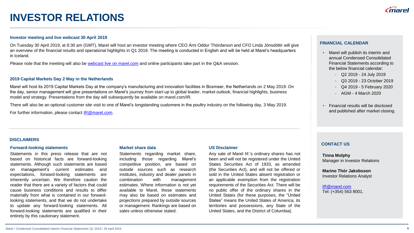### **INVESTOR RELATIONS**

### **Investor meeting and live webcast 30 April 2019**

On Tuesday 30 April 2019, at 8:30 am (GMT), Marel will host an investor meeting where CEO Árni Oddur Thórdarson and CFO Linda Jónsdóttir will give an overview of the financial results and operational highlights in Q1 2019. The meeting is conducted in English and will be held at Marel's headquarters in Iceland.

Please note that the meeting will also be [webcast live on marel.com](http://www.marel.com/webcast) and online participants take part in the Q&A session.

### **2019 Capital Markets Day 2 May in the Netherlands**

Marel will host its 2019 Capital Markets Day at the company's manufacturing and innovation facilities in Boxmeer, the Netherlands on 2 May 2019. On the day, senior management will give presentations on Marel's journey from start-up to global leader, market outlook, financial highlights, business model and strategy. Presentations from the day will subsequently be available on marel.com/IR.

There will also be an optional customer site visit to one of Marel's longstanding customers in the poultry industry on the following day, 3 May 2019.

For further information, please contact [IR@marel.com.](mailto:IR@marel.com)

### **FINANCIAL CALENDAR**

- Marel will publish its interim and annual Condensed Consolidated Financial Statements according to the below financial calendar:
	- Q2 2019 24 July 2019
	- Q3 2019 23 October 2019
	- Q4 2019 5 February 2020
	- AGM 4 March 2020
- Financial results will be disclosed and published after market closing.

### **DISCLAIMERS**

### **Forward-looking statements**

Statements in this press release that are not based on historical facts are forward-looking statements. Although such statements are based on management's current estimates and expectations, forward-looking statements are inherently uncertain. We therefore caution the reader that there are a variety of factors that could cause business conditions and results to differ materially from what is contained in our forwardlooking statements, and that we do not undertake to update any forward-looking statements. All forward-looking statements are qualified in their entirety by this cautionary statement.

### **Market share data**

Statements regarding market share, including those regarding Marel's competitive position, are based on outside sources such as research institutes, industry and dealer panels in combination with management estimates. Where information is not yet available to Marel, those statements may also be based on estimates and projections prepared by outside sources or management. Rankings are based on sales unless otherwise stated.

### **US Disclaimer**

Any sale of Marel hf.'s ordinary shares has not been and will not be registered under the United States Securities Act of 1933, as amended (the Securities Act), and will not be offered or sold in the United States absent registration or an applicable exemption from the registration requirements of the Securities Act. There will be no public offer of the ordinary shares in the United States (for these purposes, the "United States" means the United States of America, its territories and possessions, any State of the United States, and the District of Columbia).

### **CONTACT US**

**Tinna Molphy** Manager in Investor Relations

**Marino Thór Jakobsson** Investor Relations Analyst

[IR@marel.com](mailto:IR@marel.com) Tel: (+354) 563 8001.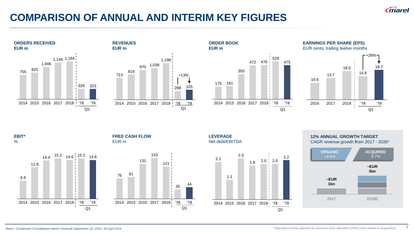

# **COMPARISON OF ANNUAL AND INTERIM KEY FIGURES**









**EBIT\***  $\frac{0}{0}$ 



**FREE CASH FLOW** EUR m